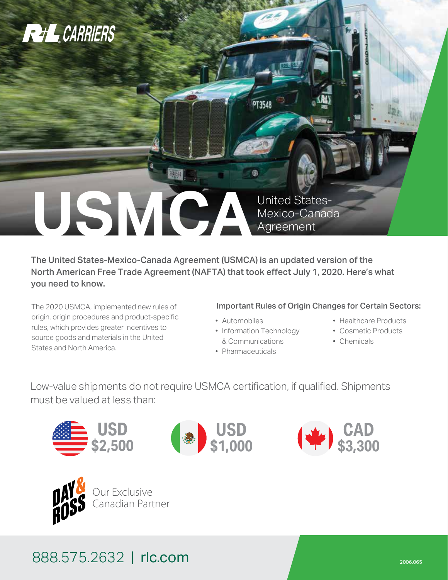

The United States-Mexico-Canada Agreement (USMCA) is an updated version of the North American Free Trade Agreement (NAFTA) that took effect July 1, 2020. Here's what you need to know.

The 2020 USMCA, implemented new rules of origin, origin procedures and product-specific rules, which provides greater incentives to source goods and materials in the United States and North America.

### Important Rules of Origin Changes for Certain Sectors:

- Automobiles
- Information Technology & Communications
- Pharmaceuticals
- Healthcare Products
- Cosmetic Products
- Chemicals

Low-value shipments do not require USMCA certification, if qualified. Shipments must be valued at less than:









### 888.575.2632 | rlc.com